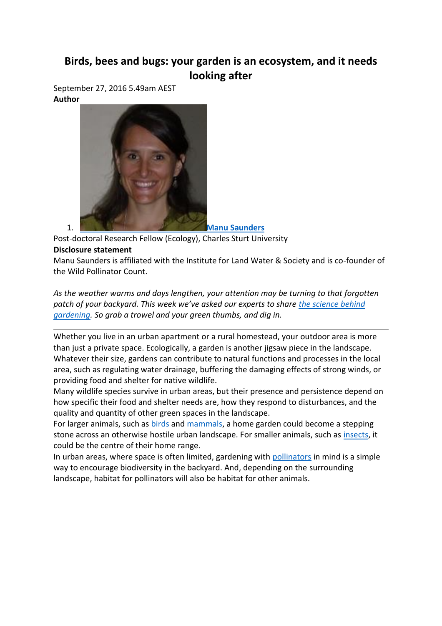## **Birds, bees and bugs: your garden is an ecosystem, and it needs looking after**

September 27, 2016 5.49am AEST **Author**



Post-doctoral Research Fellow (Ecology), Charles Sturt University

## **Disclosure statement**

Manu Saunders is affiliated with the Institute for Land Water & Society and is co-founder of the Wild Pollinator Count.

*As the weather warms and days lengthen, your attention may be turning to that forgotten patch of your backyard. This week we've asked our experts to share [the science behind](https://theconversation.com/au/topics/gardening-series-31530)  [gardening.](https://theconversation.com/au/topics/gardening-series-31530) So grab a trowel and your green thumbs, and dig in.*

Whether you live in an urban apartment or a rural homestead, your outdoor area is more than just a private space. Ecologically, a garden is another jigsaw piece in the landscape. Whatever their size, gardens can contribute to natural functions and processes in the local area, such as regulating water drainage, buffering the damaging effects of strong winds, or providing food and shelter for native wildlife.

Many wildlife species survive in urban areas, but their presence and persistence depend on how specific their food and shelter needs are, how they respond to disturbances, and the quality and quantity of other green spaces in the landscape.

For larger animals, such as **[birds](http://www.birdsinbackyards.net/)** and [mammals,](http://australianmuseum.net.au/mammals) a home garden could become a stepping stone across an otherwise hostile urban landscape. For smaller animals, such as [insects,](http://anic.ento.csiro.au/insectfamilies/) it could be the centre of their home range.

In urban areas, where space is often limited, gardening with [pollinators](https://theconversation.com/not-just-bees-the-buzz-on-our-other-vital-insect-helpers-52373) in mind is a simple way to encourage biodiversity in the backyard. And, depending on the surrounding landscape, habitat for pollinators will also be habitat for other animals.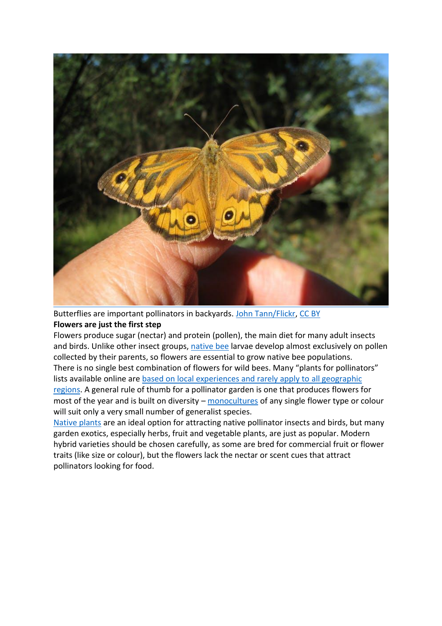

Butterflies are important pollinators in backyards. [John Tann/Flickr,](https://www.flickr.com/photos/31031835@N08/5359481671/) [CC BY](http://creativecommons.org/licenses/by/4.0/) **Flowers are just the first step**

Flowers produce sugar (nectar) and protein (pollen), the main diet for many adult insects and birds. Unlike other insect groups, [native bee](https://theconversation.com/modern-agriculture-is-stressing-honeybees-lets-go-native-12080) larvae develop almost exclusively on pollen collected by their parents, so flowers are essential to grow native bee populations. There is no single best combination of flowers for wild bees. Many "plants for pollinators" lists available online are [based on local experiences and rarely apply to](http://bioscience.oxfordjournals.org/content/64/11/1019) all geographic [regions.](http://bioscience.oxfordjournals.org/content/64/11/1019) A general rule of thumb for a pollinator garden is one that produces flowers for most of the year and is built on diversity – [monocultures](https://theconversation.com/single-crop-farming-is-leaving-wildlife-with-no-room-to-turn-38991) of any single flower type or colour will suit only a very small number of generalist species.

[Native plants](http://www.abc.net.au/gardening/factsheets/native.htm) are an ideal option for attracting native pollinator insects and birds, but many garden exotics, especially herbs, fruit and vegetable plants, are just as popular. Modern hybrid varieties should be chosen carefully, as some are bred for commercial fruit or flower traits (like size or colour), but the flowers lack the nectar or scent cues that attract pollinators looking for food.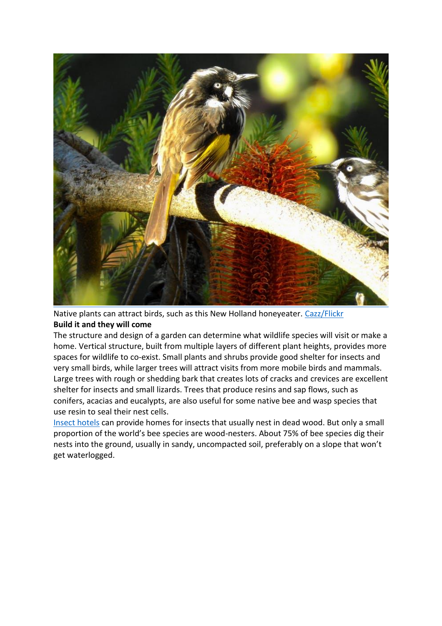

Native plants can attract birds, such as this New Holland honeyeater. [Cazz/Flickr](https://www.flickr.com/photos/cazzjj/27999912081/) **Build it and they will come**

The structure and design of a garden can determine what wildlife species will visit or make a home. Vertical structure, built from multiple layers of different plant heights, provides more spaces for wildlife to co-exist. Small plants and shrubs provide good shelter for insects and very small birds, while larger trees will attract visits from more mobile birds and mammals. Large trees with rough or shedding bark that creates lots of cracks and crevices are excellent shelter for insects and small lizards. Trees that produce resins and sap flows, such as conifers, acacias and eucalypts, are also useful for some native bee and wasp species that use resin to seal their nest cells.

[Insect hotels](http://www.sgaonline.org.au/insect-hotels/) can provide homes for insects that usually nest in dead wood. But only a small proportion of the world's bee species are wood-nesters. About 75% of bee species dig their nests into the ground, usually in sandy, uncompacted soil, preferably on a slope that won't get waterlogged.